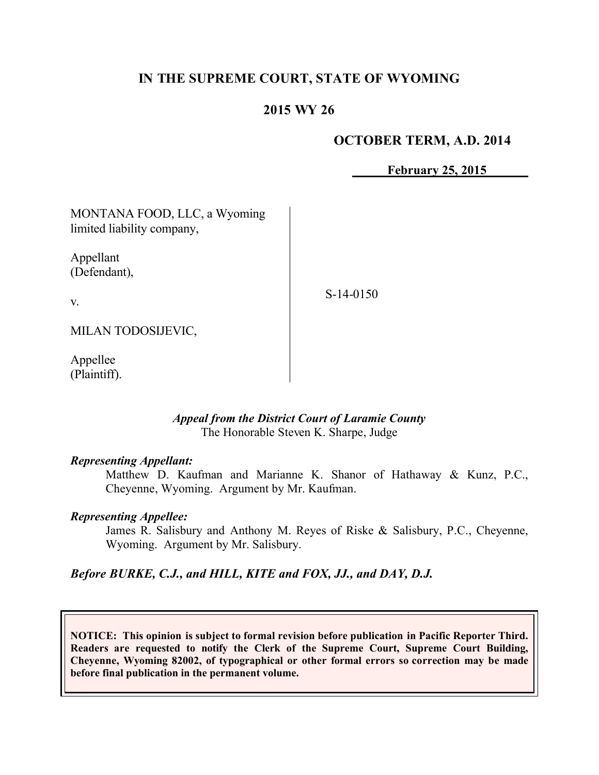# **IN THE SUPREME COURT, STATE OF WYOMING**

# **2015 WY 26**

### **OCTOBER TERM, A.D. 2014**

**February 25, 2015**

| MONTANA FOOD, LLC, a Wyoming<br>limited liability company, |             |
|------------------------------------------------------------|-------------|
| Appellant<br>(Defendant),                                  |             |
| $V_{\cdot}$                                                | $S-14-0150$ |
| MILAN TODOSIJEVIC,                                         |             |

Appellee (Plaintiff).

#### *Appeal from the District Court of Laramie County* The Honorable Steven K. Sharpe, Judge

#### *Representing Appellant:*

Matthew D. Kaufman and Marianne K. Shanor of Hathaway & Kunz, P.C., Cheyenne, Wyoming. Argument by Mr. Kaufman.

#### *Representing Appellee:*

James R. Salisbury and Anthony M. Reyes of Riske & Salisbury, P.C., Cheyenne, Wyoming. Argument by Mr. Salisbury.

*Before BURKE, C.J., and HILL, KITE and FOX, JJ., and DAY, D.J.*

**NOTICE: This opinion is subject to formal revision before publication in Pacific Reporter Third. Readers are requested to notify the Clerk of the Supreme Court, Supreme Court Building, Cheyenne, Wyoming 82002, of typographical or other formal errors so correction may be made before final publication in the permanent volume.**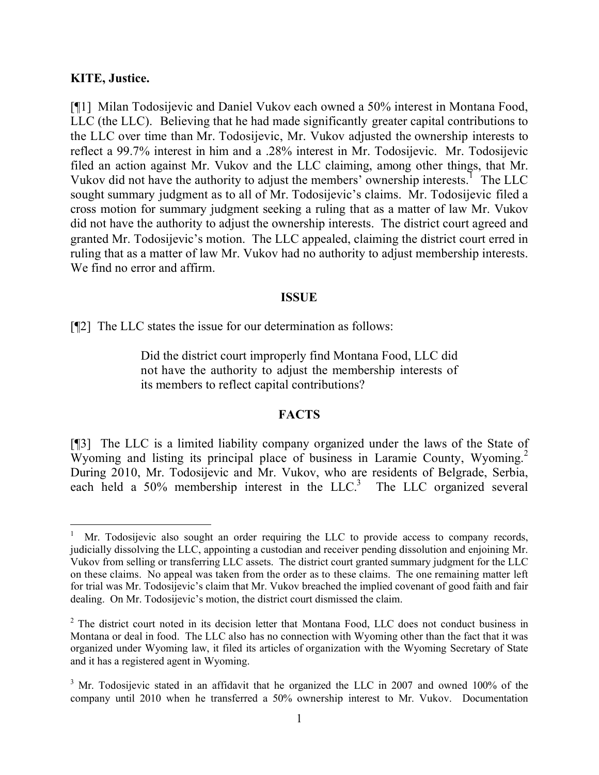#### **KITE, Justice.**

 $\overline{a}$ 

[¶1] Milan Todosijevic and Daniel Vukov each owned a 50% interest in Montana Food, LLC (the LLC). Believing that he had made significantly greater capital contributions to the LLC over time than Mr. Todosijevic, Mr. Vukov adjusted the ownership interests to reflect a 99.7% interest in him and a .28% interest in Mr. Todosijevic. Mr. Todosijevic filed an action against Mr. Vukov and the LLC claiming, among other things, that Mr. Vukov did not have the authority to adjust the members' ownership interests.<sup>1</sup> The LLC sought summary judgment as to all of Mr. Todosijevic's claims. Mr. Todosijevic filed a cross motion for summary judgment seeking a ruling that as a matter of law Mr. Vukov did not have the authority to adjust the ownership interests. The district court agreed and granted Mr. Todosijevic's motion. The LLC appealed, claiming the district court erred in ruling that as a matter of law Mr. Vukov had no authority to adjust membership interests. We find no error and affirm.

#### **ISSUE**

[¶2] The LLC states the issue for our determination as follows:

Did the district court improperly find Montana Food, LLC did not have the authority to adjust the membership interests of its members to reflect capital contributions?

#### **FACTS**

[¶3] The LLC is a limited liability company organized under the laws of the State of Wyoming and listing its principal place of business in Laramie County, Wyoming.<sup>2</sup> During 2010, Mr. Todosijevic and Mr. Vukov, who are residents of Belgrade, Serbia, each held a  $50\%$  membership interest in the LLC.<sup>3</sup> The LLC organized several

<sup>1</sup> Mr. Todosijevic also sought an order requiring the LLC to provide access to company records, judicially dissolving the LLC, appointing a custodian and receiver pending dissolution and enjoining Mr. Vukov from selling or transferring LLC assets. The district court granted summary judgment for the LLC on these claims. No appeal was taken from the order as to these claims. The one remaining matter left for trial was Mr. Todosijevic's claim that Mr. Vukov breached the implied covenant of good faith and fair dealing. On Mr. Todosijevic's motion, the district court dismissed the claim.

<sup>&</sup>lt;sup>2</sup> The district court noted in its decision letter that Montana Food, LLC does not conduct business in Montana or deal in food. The LLC also has no connection with Wyoming other than the fact that it was organized under Wyoming law, it filed its articles of organization with the Wyoming Secretary of State and it has a registered agent in Wyoming.

<sup>&</sup>lt;sup>3</sup> Mr. Todosijevic stated in an affidavit that he organized the LLC in 2007 and owned 100% of the company until 2010 when he transferred a 50% ownership interest to Mr. Vukov. Documentation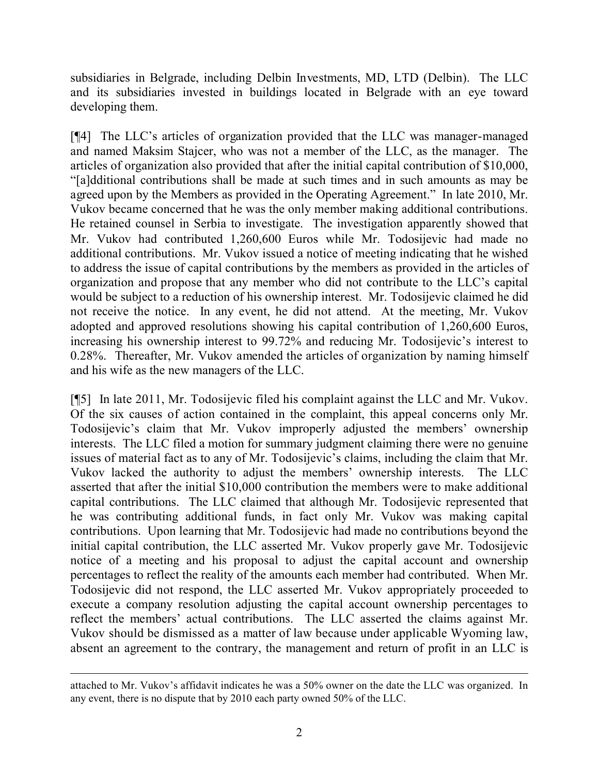subsidiaries in Belgrade, including Delbin Investments, MD, LTD (Delbin). The LLC and its subsidiaries invested in buildings located in Belgrade with an eye toward developing them.

[¶4] The LLC's articles of organization provided that the LLC was manager-managed and named Maksim Stajcer, who was not a member of the LLC, as the manager. The articles of organization also provided that after the initial capital contribution of \$10,000, "[a]dditional contributions shall be made at such times and in such amounts as may be agreed upon by the Members as provided in the Operating Agreement." In late 2010, Mr. Vukov became concerned that he was the only member making additional contributions. He retained counsel in Serbia to investigate. The investigation apparently showed that Mr. Vukov had contributed 1,260,600 Euros while Mr. Todosijevic had made no additional contributions. Mr. Vukov issued a notice of meeting indicating that he wished to address the issue of capital contributions by the members as provided in the articles of organization and propose that any member who did not contribute to the LLC's capital would be subject to a reduction of his ownership interest. Mr. Todosijevic claimed he did not receive the notice. In any event, he did not attend. At the meeting, Mr. Vukov adopted and approved resolutions showing his capital contribution of 1,260,600 Euros, increasing his ownership interest to 99.72% and reducing Mr. Todosijevic's interest to 0.28%. Thereafter, Mr. Vukov amended the articles of organization by naming himself and his wife as the new managers of the LLC.

[¶5] In late 2011, Mr. Todosijevic filed his complaint against the LLC and Mr. Vukov. Of the six causes of action contained in the complaint, this appeal concerns only Mr. Todosijevic's claim that Mr. Vukov improperly adjusted the members' ownership interests. The LLC filed a motion for summary judgment claiming there were no genuine issues of material fact as to any of Mr. Todosijevic's claims, including the claim that Mr. Vukov lacked the authority to adjust the members' ownership interests. The LLC asserted that after the initial \$10,000 contribution the members were to make additional capital contributions. The LLC claimed that although Mr. Todosijevic represented that he was contributing additional funds, in fact only Mr. Vukov was making capital contributions. Upon learning that Mr. Todosijevic had made no contributions beyond the initial capital contribution, the LLC asserted Mr. Vukov properly gave Mr. Todosijevic notice of a meeting and his proposal to adjust the capital account and ownership percentages to reflect the reality of the amounts each member had contributed. When Mr. Todosijevic did not respond, the LLC asserted Mr. Vukov appropriately proceeded to execute a company resolution adjusting the capital account ownership percentages to reflect the members' actual contributions. The LLC asserted the claims against Mr. Vukov should be dismissed as a matter of law because under applicable Wyoming law, absent an agreement to the contrary, the management and return of profit in an LLC is

attached to Mr. Vukov's affidavit indicates he was a 50% owner on the date the LLC was organized. In any event, there is no dispute that by 2010 each party owned 50% of the LLC.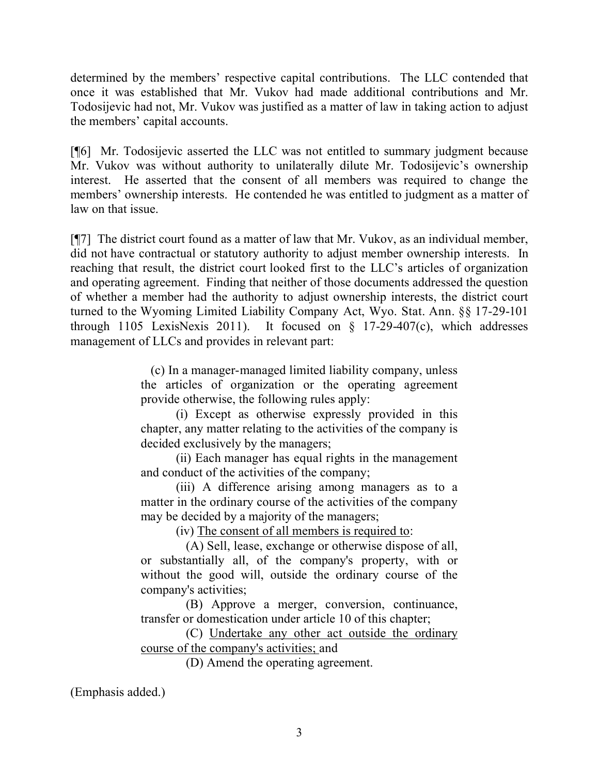determined by the members' respective capital contributions. The LLC contended that once it was established that Mr. Vukov had made additional contributions and Mr. Todosijevic had not, Mr. Vukov was justified as a matter of law in taking action to adjust the members' capital accounts.

[¶6] Mr. Todosijevic asserted the LLC was not entitled to summary judgment because Mr. Vukov was without authority to unilaterally dilute Mr. Todosijevic's ownership interest. He asserted that the consent of all members was required to change the members' ownership interests. He contended he was entitled to judgment as a matter of law on that issue.

[¶7] The district court found as a matter of law that Mr. Vukov, as an individual member, did not have contractual or statutory authority to adjust member ownership interests. In reaching that result, the district court looked first to the LLC's articles of organization and operating agreement. Finding that neither of those documents addressed the question of whether a member had the authority to adjust ownership interests, the district court turned to the Wyoming Limited Liability Company Act, Wyo. Stat. Ann. §§ 17-29-101 through 1105 LexisNexis 2011). It focused on  $\S$  17-29-407(c), which addresses management of LLCs and provides in relevant part:

> (c) In a manager-managed limited liability company, unless the articles of organization or the operating agreement provide otherwise, the following rules apply:

> (i) Except as otherwise expressly provided in this chapter, any matter relating to the activities of the company is decided exclusively by the managers;

> (ii) Each manager has equal rights in the management and conduct of the activities of the company;

> (iii) A difference arising among managers as to a matter in the ordinary course of the activities of the company may be decided by a majority of the managers;

> > (iv) The consent of all members is required to:

 (A) Sell, lease, exchange or otherwise dispose of all, or substantially all, of the company's property, with or without the good will, outside the ordinary course of the company's activities;

 (B) Approve a merger, conversion, continuance, transfer or domestication under article 10 of this chapter;

 (C) Undertake any other act outside the ordinary course of the company's activities; and

(D) Amend the operating agreement.

(Emphasis added.)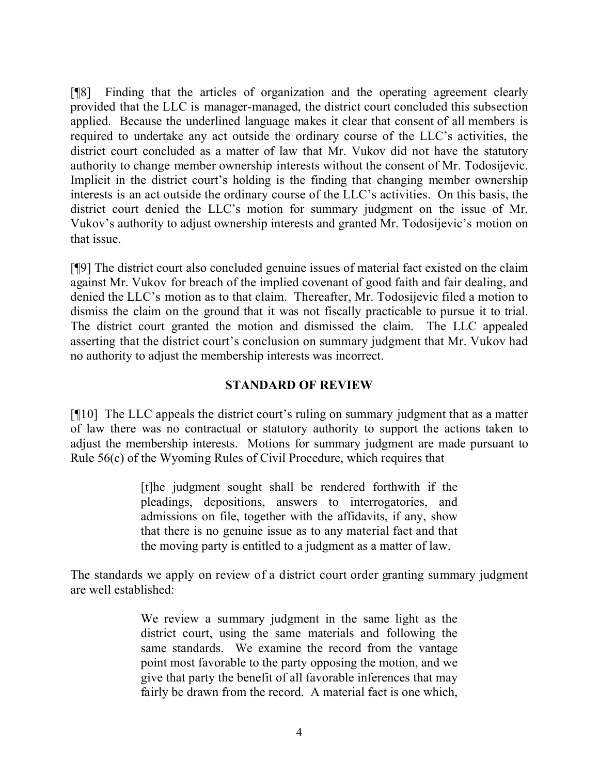[¶8] Finding that the articles of organization and the operating agreement clearly provided that the LLC is manager-managed, the district court concluded this subsection applied. Because the underlined language makes it clear that consent of all members is required to undertake any act outside the ordinary course of the LLC's activities, the district court concluded as a matter of law that Mr. Vukov did not have the statutory authority to change member ownership interests without the consent of Mr. Todosijevic. Implicit in the district court's holding is the finding that changing member ownership interests is an act outside the ordinary course of the LLC's activities. On this basis, the district court denied the LLC's motion for summary judgment on the issue of Mr. Vukov's authority to adjust ownership interests and granted Mr. Todosijevic's motion on that issue.

[¶9] The district court also concluded genuine issues of material fact existed on the claim against Mr. Vukov for breach of the implied covenant of good faith and fair dealing, and denied the LLC's motion as to that claim. Thereafter, Mr. Todosijevic filed a motion to dismiss the claim on the ground that it was not fiscally practicable to pursue it to trial. The district court granted the motion and dismissed the claim. The LLC appealed asserting that the district court's conclusion on summary judgment that Mr. Vukov had no authority to adjust the membership interests was incorrect.

### **STANDARD OF REVIEW**

[¶10] The LLC appeals the district court's ruling on summary judgment that as a matter of law there was no contractual or statutory authority to support the actions taken to adjust the membership interests. Motions for summary judgment are made pursuant to Rule 56(c) of the Wyoming Rules of Civil Procedure, which requires that

> [t]he judgment sought shall be rendered forthwith if the pleadings, depositions, answers to interrogatories, and admissions on file, together with the affidavits, if any, show that there is no genuine issue as to any material fact and that the moving party is entitled to a judgment as a matter of law.

The standards we apply on review of a district court order granting summary judgment are well established:

> We review a summary judgment in the same light as the district court, using the same materials and following the same standards. We examine the record from the vantage point most favorable to the party opposing the motion, and we give that party the benefit of all favorable inferences that may fairly be drawn from the record. A material fact is one which,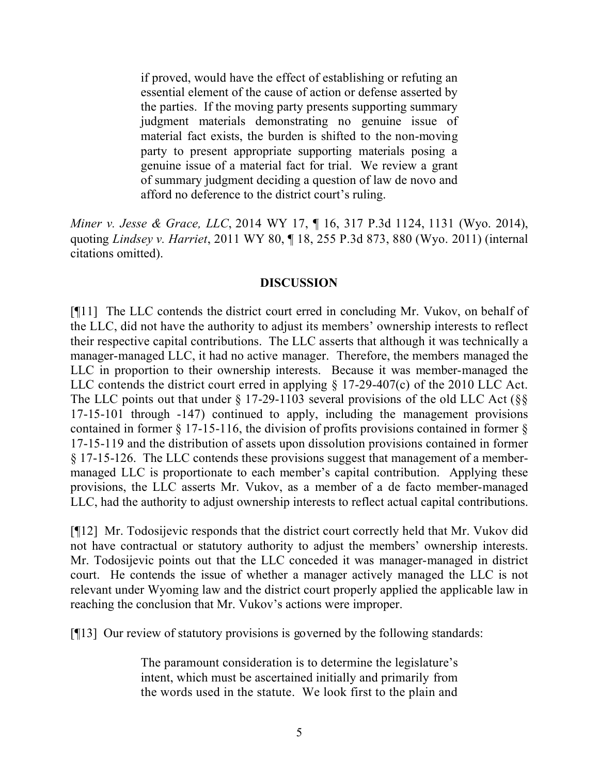if proved, would have the effect of establishing or refuting an essential element of the cause of action or defense asserted by the parties. If the moving party presents supporting summary judgment materials demonstrating no genuine issue of material fact exists, the burden is shifted to the non-moving party to present appropriate supporting materials posing a genuine issue of a material fact for trial. We review a grant of summary judgment deciding a question of law de novo and afford no deference to the district court's ruling.

*Miner v. Jesse & Grace, LLC*, 2014 WY 17, ¶ 16, 317 P.3d 1124, 1131 (Wyo. 2014), quoting *Lindsey v. Harriet*, 2011 WY 80, ¶ 18, 255 P.3d 873, 880 (Wyo. 2011) (internal citations omitted).

### **DISCUSSION**

[¶11] The LLC contends the district court erred in concluding Mr. Vukov, on behalf of the LLC, did not have the authority to adjust its members' ownership interests to reflect their respective capital contributions. The LLC asserts that although it was technically a manager-managed LLC, it had no active manager. Therefore, the members managed the LLC in proportion to their ownership interests. Because it was member-managed the LLC contends the district court erred in applying § 17-29-407(c) of the 2010 LLC Act. The LLC points out that under  $\S 17-29-1103$  several provisions of the old LLC Act ( $\S$ 17-15-101 through -147) continued to apply, including the management provisions contained in former § 17-15-116, the division of profits provisions contained in former § 17-15-119 and the distribution of assets upon dissolution provisions contained in former § 17-15-126. The LLC contends these provisions suggest that management of a membermanaged LLC is proportionate to each member's capital contribution. Applying these provisions, the LLC asserts Mr. Vukov, as a member of a de facto member-managed LLC, had the authority to adjust ownership interests to reflect actual capital contributions.

[¶12] Mr. Todosijevic responds that the district court correctly held that Mr. Vukov did not have contractual or statutory authority to adjust the members' ownership interests. Mr. Todosijevic points out that the LLC conceded it was manager-managed in district court. He contends the issue of whether a manager actively managed the LLC is not relevant under Wyoming law and the district court properly applied the applicable law in reaching the conclusion that Mr. Vukov's actions were improper.

[¶13] Our review of statutory provisions is governed by the following standards:

The paramount consideration is to determine the legislature's intent, which must be ascertained initially and primarily from the words used in the statute. We look first to the plain and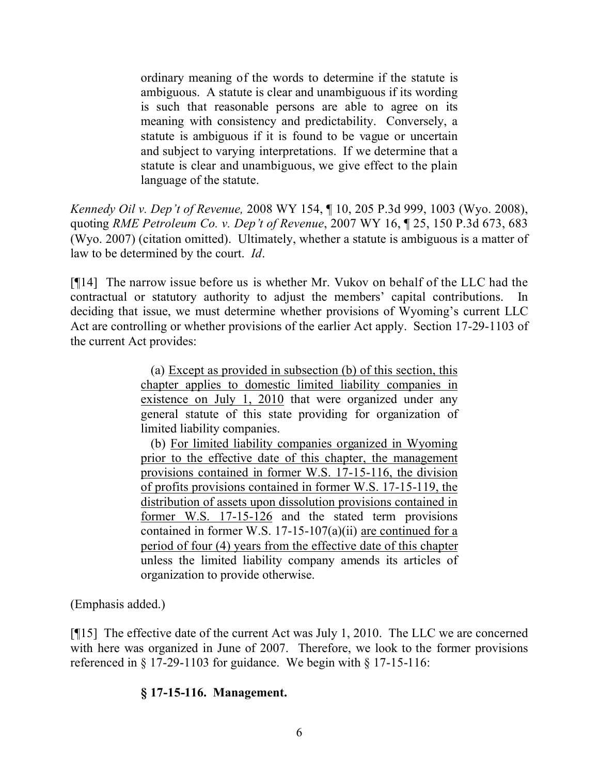ordinary meaning of the words to determine if the statute is ambiguous. A statute is clear and unambiguous if its wording is such that reasonable persons are able to agree on its meaning with consistency and predictability. Conversely, a statute is ambiguous if it is found to be vague or uncertain and subject to varying interpretations. If we determine that a statute is clear and unambiguous, we give effect to the plain language of the statute.

*Kennedy Oil v. Dep't of Revenue,* 2008 WY 154, ¶ 10, 205 P.3d 999, 1003 (Wyo. 2008), quoting *RME Petroleum Co. v. Dep't of Revenue*, 2007 WY 16, ¶ 25, 150 P.3d 673, 683 (Wyo. 2007) (citation omitted). Ultimately, whether a statute is ambiguous is a matter of law to be determined by the court. *Id*.

[¶14] The narrow issue before us is whether Mr. Vukov on behalf of the LLC had the contractual or statutory authority to adjust the members' capital contributions. In deciding that issue, we must determine whether provisions of Wyoming's current LLC Act are controlling or whether provisions of the earlier Act apply. Section 17-29-1103 of the current Act provides:

> (a) Except as provided in subsection (b) of this section, this chapter applies to domestic limited liability companies in existence on July 1, 2010 that were organized under any general statute of this state providing for organization of limited liability companies.

> (b) For limited liability companies organized in Wyoming prior to the effective date of this chapter, the management provisions contained in former W.S. 17-15-116, the division of profits provisions contained in former W.S. 17-15-119, the distribution of assets upon dissolution provisions contained in former W.S. 17-15-126 and the stated term provisions contained in former W.S. 17-15-107(a)(ii) are continued for a period of four (4) years from the effective date of this chapter unless the limited liability company amends its articles of organization to provide otherwise.

(Emphasis added.)

[¶15] The effective date of the current Act was July 1, 2010. The LLC we are concerned with here was organized in June of 2007. Therefore, we look to the former provisions referenced in  $\S 17-29-1103$  for guidance. We begin with  $\S 17-15-116$ :

# **§ 17-15-116. Management.**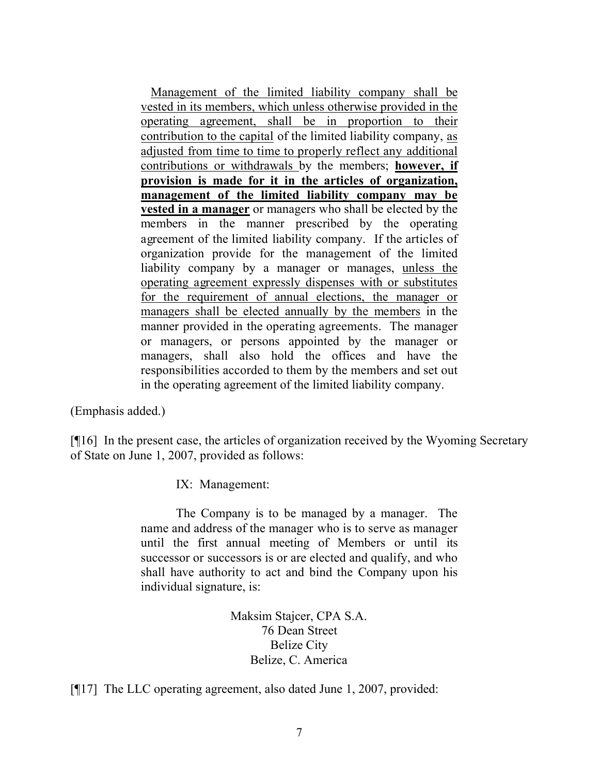Management of the limited liability company shall be vested in its members, which unless otherwise provided in the operating agreement, shall be in proportion to their contribution to the capital of the limited liability company, as adjusted from time to time to properly reflect any additional contributions or withdrawals by the members; **however, if provision is made for it in the articles of organization, management of the limited liability company may be vested in a manager** or managers who shall be elected by the members in the manner prescribed by the operating agreement of the limited liability company. If the articles of organization provide for the management of the limited liability company by a manager or manages, unless the operating agreement expressly dispenses with or substitutes for the requirement of annual elections, the manager or managers shall be elected annually by the members in the manner provided in the operating agreements. The manager or managers, or persons appointed by the manager or managers, shall also hold the offices and have the responsibilities accorded to them by the members and set out in the operating agreement of the limited liability company.

(Emphasis added.)

[¶16] In the present case, the articles of organization received by the Wyoming Secretary of State on June 1, 2007, provided as follows:

IX: Management:

The Company is to be managed by a manager. The name and address of the manager who is to serve as manager until the first annual meeting of Members or until its successor or successors is or are elected and qualify, and who shall have authority to act and bind the Company upon his individual signature, is:

> Maksim Stajcer, CPA S.A. 76 Dean Street Belize City Belize, C. America

[¶17] The LLC operating agreement, also dated June 1, 2007, provided: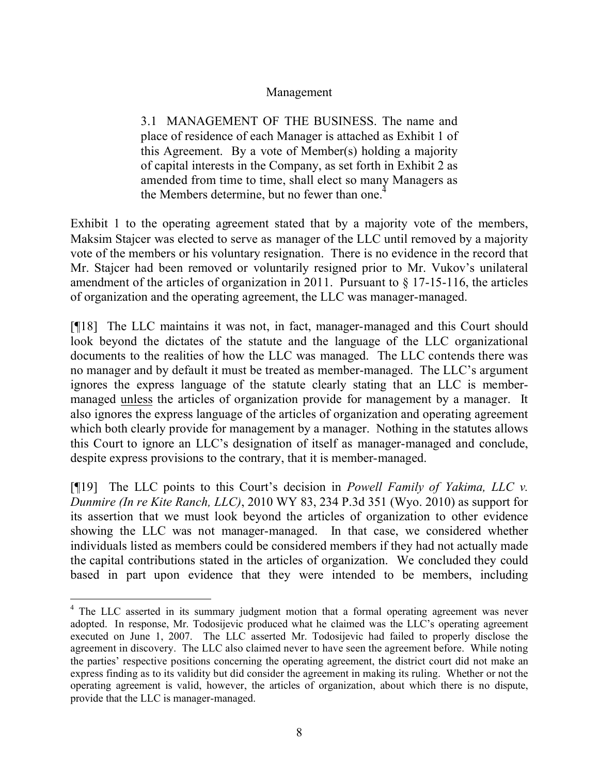### Management

3.1 MANAGEMENT OF THE BUSINESS. The name and place of residence of each Manager is attached as Exhibit 1 of this Agreement. By a vote of Member(s) holding a majority of capital interests in the Company, as set forth in Exhibit 2 as amended from time to time, shall elect so many Managers as the Members determine, but no fewer than one. $\epsilon$ 

Exhibit 1 to the operating agreement stated that by a majority vote of the members, Maksim Stajcer was elected to serve as manager of the LLC until removed by a majority vote of the members or his voluntary resignation. There is no evidence in the record that Mr. Stajcer had been removed or voluntarily resigned prior to Mr. Vukov's unilateral amendment of the articles of organization in 2011. Pursuant to  $\S$  17-15-116, the articles of organization and the operating agreement, the LLC was manager-managed.

[¶18] The LLC maintains it was not, in fact, manager-managed and this Court should look beyond the dictates of the statute and the language of the LLC organizational documents to the realities of how the LLC was managed. The LLC contends there was no manager and by default it must be treated as member-managed. The LLC's argument ignores the express language of the statute clearly stating that an LLC is membermanaged unless the articles of organization provide for management by a manager. It also ignores the express language of the articles of organization and operating agreement which both clearly provide for management by a manager. Nothing in the statutes allows this Court to ignore an LLC's designation of itself as manager-managed and conclude, despite express provisions to the contrary, that it is member-managed.

[¶19] The LLC points to this Court's decision in *Powell Family of Yakima, LLC v. Dunmire (In re Kite Ranch, LLC)*, 2010 WY 83, 234 P.3d 351 (Wyo. 2010) as support for its assertion that we must look beyond the articles of organization to other evidence showing the LLC was not manager-managed. In that case, we considered whether individuals listed as members could be considered members if they had not actually made the capital contributions stated in the articles of organization. We concluded they could based in part upon evidence that they were intended to be members, including

<sup>&</sup>lt;sup>4</sup> The LLC asserted in its summary judgment motion that a formal operating agreement was never adopted. In response, Mr. Todosijevic produced what he claimed was the LLC's operating agreement executed on June 1, 2007. The LLC asserted Mr. Todosijevic had failed to properly disclose the agreement in discovery. The LLC also claimed never to have seen the agreement before. While noting the parties' respective positions concerning the operating agreement, the district court did not make an express finding as to its validity but did consider the agreement in making its ruling. Whether or not the operating agreement is valid, however, the articles of organization, about which there is no dispute, provide that the LLC is manager-managed.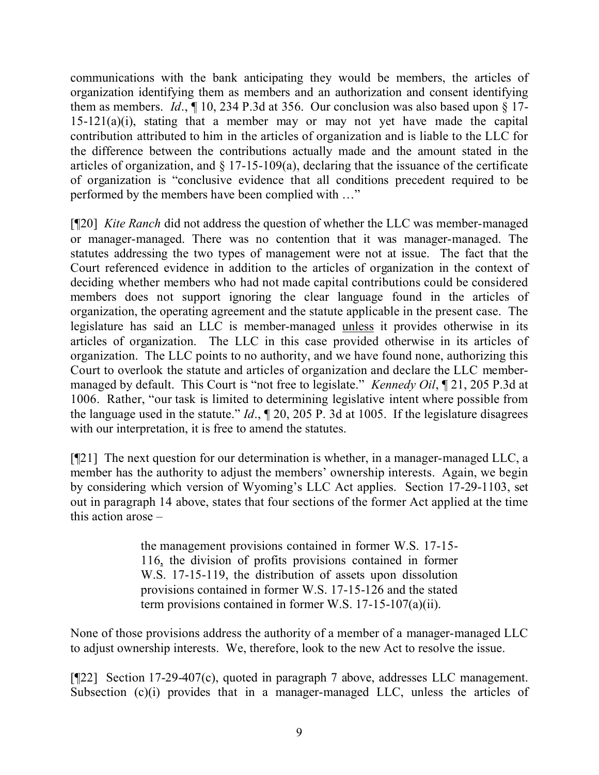communications with the bank anticipating they would be members, the articles of organization identifying them as members and an authorization and consent identifying them as members. *Id*., ¶ 10, 234 P.3d at 356. Our conclusion was also based upon § 17-  $15-121(a)(i)$ , stating that a member may or may not yet have made the capital contribution attributed to him in the articles of organization and is liable to the LLC for the difference between the contributions actually made and the amount stated in the articles of organization, and  $\S 17-15-109(a)$ , declaring that the issuance of the certificate of organization is "conclusive evidence that all conditions precedent required to be performed by the members have been complied with …"

[¶20] *Kite Ranch* did not address the question of whether the LLC was member-managed or manager-managed. There was no contention that it was manager-managed. The statutes addressing the two types of management were not at issue. The fact that the Court referenced evidence in addition to the articles of organization in the context of deciding whether members who had not made capital contributions could be considered members does not support ignoring the clear language found in the articles of organization, the operating agreement and the statute applicable in the present case. The legislature has said an LLC is member-managed unless it provides otherwise in its articles of organization. The LLC in this case provided otherwise in its articles of organization. The LLC points to no authority, and we have found none, authorizing this Court to overlook the statute and articles of organization and declare the LLC membermanaged by default. This Court is "not free to legislate." *Kennedy Oil*, ¶ 21, 205 P.3d at 1006. Rather, "our task is limited to determining legislative intent where possible from the language used in the statute." *Id*., ¶ 20, 205 P. 3d at 1005. If the legislature disagrees with our interpretation, it is free to amend the statutes.

[¶21] The next question for our determination is whether, in a manager-managed LLC, a member has the authority to adjust the members' ownership interests. Again, we begin by considering which version of Wyoming's LLC Act applies. Section 17-29-1103, set out in paragraph 14 above, states that four sections of the former Act applied at the time this action arose –

> the management provisions contained in former W.S. 17-15- 116, the division of profits provisions contained in former W.S. 17-15-119, the distribution of assets upon dissolution provisions contained in former W.S. 17-15-126 and the stated term provisions contained in former W.S. 17-15-107(a)(ii).

None of those provisions address the authority of a member of a manager-managed LLC to adjust ownership interests. We, therefore, look to the new Act to resolve the issue.

[¶22] Section 17-29-407(c), quoted in paragraph 7 above, addresses LLC management. Subsection (c)(i) provides that in a manager-managed LLC, unless the articles of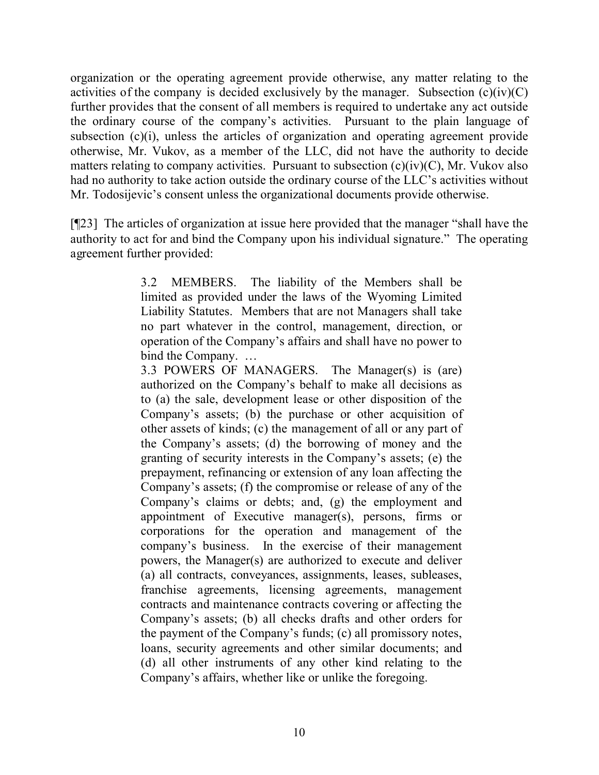organization or the operating agreement provide otherwise, any matter relating to the activities of the company is decided exclusively by the manager. Subsection  $(c)(iv)(C)$ further provides that the consent of all members is required to undertake any act outside the ordinary course of the company's activities. Pursuant to the plain language of subsection (c)(i), unless the articles of organization and operating agreement provide otherwise, Mr. Vukov, as a member of the LLC, did not have the authority to decide matters relating to company activities. Pursuant to subsection  $(c)(iv)(C)$ , Mr. Vukov also had no authority to take action outside the ordinary course of the LLC's activities without Mr. Todosijevic's consent unless the organizational documents provide otherwise.

[¶23] The articles of organization at issue here provided that the manager "shall have the authority to act for and bind the Company upon his individual signature." The operating agreement further provided:

> 3.2 MEMBERS. The liability of the Members shall be limited as provided under the laws of the Wyoming Limited Liability Statutes. Members that are not Managers shall take no part whatever in the control, management, direction, or operation of the Company's affairs and shall have no power to bind the Company. …

> 3.3 POWERS OF MANAGERS. The Manager(s) is (are) authorized on the Company's behalf to make all decisions as to (a) the sale, development lease or other disposition of the Company's assets; (b) the purchase or other acquisition of other assets of kinds; (c) the management of all or any part of the Company's assets; (d) the borrowing of money and the granting of security interests in the Company's assets; (e) the prepayment, refinancing or extension of any loan affecting the Company's assets; (f) the compromise or release of any of the Company's claims or debts; and, (g) the employment and appointment of Executive manager(s), persons, firms or corporations for the operation and management of the company's business. In the exercise of their management powers, the Manager(s) are authorized to execute and deliver (a) all contracts, conveyances, assignments, leases, subleases, franchise agreements, licensing agreements, management contracts and maintenance contracts covering or affecting the Company's assets; (b) all checks drafts and other orders for the payment of the Company's funds; (c) all promissory notes, loans, security agreements and other similar documents; and (d) all other instruments of any other kind relating to the Company's affairs, whether like or unlike the foregoing.